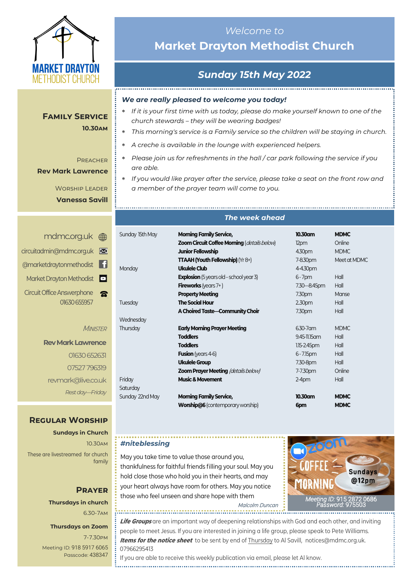

# **Family Service**

#### **10.30am**

#### **PREACHER**

**Rev Mark Lawrence**

Worship Leader **Vanessa Savill**

|   | mdmc.org.uk (mm                                   |
|---|---------------------------------------------------|
| M | circuitadmin@mdmc.org.uk                          |
|   | @marketdraytonmethodist                           |
|   | Market Drayton Methodist                          |
|   | <b>Circuit Office Answerphone</b><br>01630 655957 |

**MINISTER** 

**Rev Mark Lawrence** 01630 652631 07527 796319 revmark@live.co.uk *Rest day—Friday*

### **Regular Worship**

**Sundays in Church** 10.30am These are livestreamed for church family

### **Prayer Thursdays in church**

6.30-7am

### **Thursdays on Zoom**

7-7.30pm [Meeting ID:](https://us04web.zoom.us/j/77138650306?fbclid=IwAR1B778-w3GWZgDnAqUFq-X6hXjzASNTsZuRIt4kZ4Cpyur_3CO2EGlBBwY#success) 918 5917 6065 Passcode: 438347

### *Welcome to*  **Market Drayton Methodist Church**

# *Sunday 15th May 2022*

### *We are really pleased to welcome you today!*

- *If it is your first time with us today, please do make yourself known to one of the church stewards – they will be wearing badges!*
- *This morning's service is a Family service so the children will be staying in church.*
- *A creche is available in the lounge with experienced helpers.*
- *Please join us for refreshments in the hall / car park following the service if you are able.*
- *If you would like prayer after the service, please take a seat on the front row and a member of the prayer team will come to you.*

### *The week ahead*

| Sunday 15th May | <b>Morning Family Service,</b>                     | 10.30am          | <b>MDMC</b>  |
|-----------------|----------------------------------------------------|------------------|--------------|
|                 | <b>Zoom Circuit Coffee Morning (details below)</b> | 12pm             | Online       |
|                 | <b>Junior Fellowship</b>                           | 4.30pm           | <b>MDMC</b>  |
|                 | <b>TTAAH (Youth Fellowship)</b> ( $Yr8+$ )         | 7-8.30pm         | Meet at MDMC |
| Monday          | Ukulele Club                                       | 4-4.30pm         |              |
|                 | <b>Explosion</b> (5 years old – school year 3)     | $6 - 7$ pm       | Hall         |
|                 | <b>Fireworks</b> (years $7+$ )                     | 7.30 - 8.45pm    | Hall         |
|                 | <b>Property Meeting</b>                            | 7.30pm           | Manse        |
| Tuesday         | <b>The Social Hour</b>                             | 2.30pm           | Hall         |
|                 | A Choired Taste-Community Choir                    | 7.30pm           | Hall         |
| Wednesday       |                                                    |                  |              |
| Thursday        | <b>Early Morning Prayer Meeting</b>                | 6.30-7 am        | <b>MDMC</b>  |
|                 | <b>Toddlers</b>                                    | 9.45-11.15 am    | Hall         |
|                 | <b>Toddlers</b>                                    | $1.15 - 2.45$ pm | Hall         |
|                 | <b>Fusion</b> (years 4-6)                          | $6 - 7.15$ pm    | Hall         |
|                 | <b>Ukulele Group</b>                               | 7.30-8pm         | Hall         |
|                 | <b>Zoom Prayer Meeting (details below)</b>         | 7-7.30pm         | Online       |
| Friday          | <b>Music &amp; Movement</b>                        | $2-4$ pm         | Hall         |
| Saturday        |                                                    |                  |              |
| Sunday 22nd May | <b>Morning Family Service,</b>                     | 10.30am          | <b>MDMC</b>  |
|                 | <b>Worship@6</b> (contemporary worship)            | 6pm              | <b>MDMC</b>  |

### *#niteblessing*

May you take time to value those around you, thankfulness for faithful friends filling your soul. May you hold close those who hold you in their hearts, and may your heart always have room for others. May you notice those who feel unseen and share hope with them



Malcolm Duncan 

**Life Groups** are an important way of deepening relationships with God and each other, and inviting people to meet Jesus. If you are interested in joining a life group, please speak to Pete Williams. **Items for the notice sheet** to be sent by end of Thursday to Al Savill, notices@mdmc.org.uk. 07966295413

If you are able to receive this weekly publication via email, please let Al know.